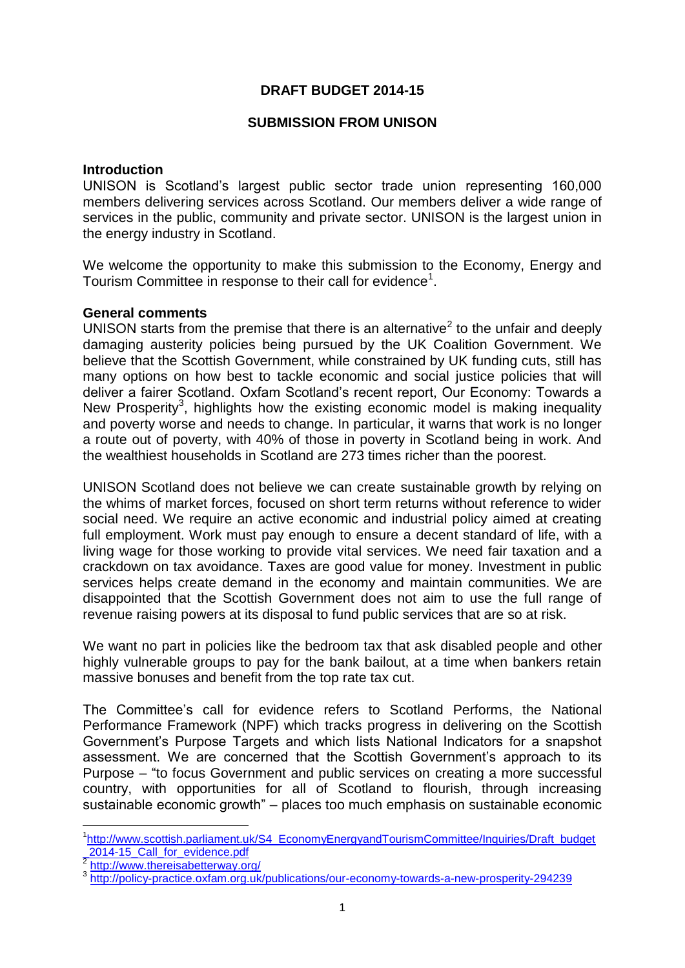# **DRAFT BUDGET 2014-15**

### **SUBMISSION FROM UNISON**

### **Introduction**

UNISON is Scotland's largest public sector trade union representing 160,000 members delivering services across Scotland. Our members deliver a wide range of services in the public, community and private sector. UNISON is the largest union in the energy industry in Scotland.

We welcome the opportunity to make this submission to the Economy, Energy and Tourism Committee in response to their call for evidence<sup>1</sup>.

## **General comments**

UNISON starts from the premise that there is an alternative<sup>2</sup> to the unfair and deeply damaging austerity policies being pursued by the UK Coalition Government. We believe that the Scottish Government, while constrained by UK funding cuts, still has many options on how best to tackle economic and social justice policies that will deliver a fairer Scotland. Oxfam Scotland's recent report, Our Economy: Towards a New Prosperity<sup>3</sup>, highlights how the existing economic model is making inequality and poverty worse and needs to change. In particular, it warns that work is no longer a route out of poverty, with 40% of those in poverty in Scotland being in work. And the wealthiest households in Scotland are 273 times richer than the poorest.

UNISON Scotland does not believe we can create sustainable growth by relying on the whims of market forces, focused on short term returns without reference to wider social need. We require an active economic and industrial policy aimed at creating full employment. Work must pay enough to ensure a decent standard of life, with a living wage for those working to provide vital services. We need fair taxation and a crackdown on tax avoidance. Taxes are good value for money. Investment in public services helps create demand in the economy and maintain communities. We are disappointed that the Scottish Government does not aim to use the full range of revenue raising powers at its disposal to fund public services that are so at risk.

We want no part in policies like the bedroom tax that ask disabled people and other highly vulnerable groups to pay for the bank bailout, at a time when bankers retain massive bonuses and benefit from the top rate tax cut.

The Committee's call for evidence refers to Scotland Performs, the National Performance Framework (NPF) which tracks progress in delivering on the Scottish Government's Purpose Targets and which lists National Indicators for a snapshot assessment. We are concerned that the Scottish Government's approach to its Purpose – "to focus Government and public services on creating a more successful country, with opportunities for all of Scotland to flourish, through increasing sustainable economic growth" – places too much emphasis on sustainable economic

1

<sup>&</sup>lt;sup>1</sup>[http://www.scottish.parliament.uk/S4\\_EconomyEnergyandTourismCommittee/Inquiries/Draft\\_budget](http://www.scottish.parliament.uk/S4_EconomyEnergyandTourismCommittee/Inquiries/Draft_budget_2014-15_Call_for_evidence.pdf) 2014-15\_Call\_for\_evidence.pdf<br>
<sup>2</sup> http://www.thoroisobetterway.org

<http://www.thereisabetterway.org/>

<sup>&</sup>lt;sup>3</sup> <http://policy-practice.oxfam.org.uk/publications/our-economy-towards-a-new-prosperity-294239>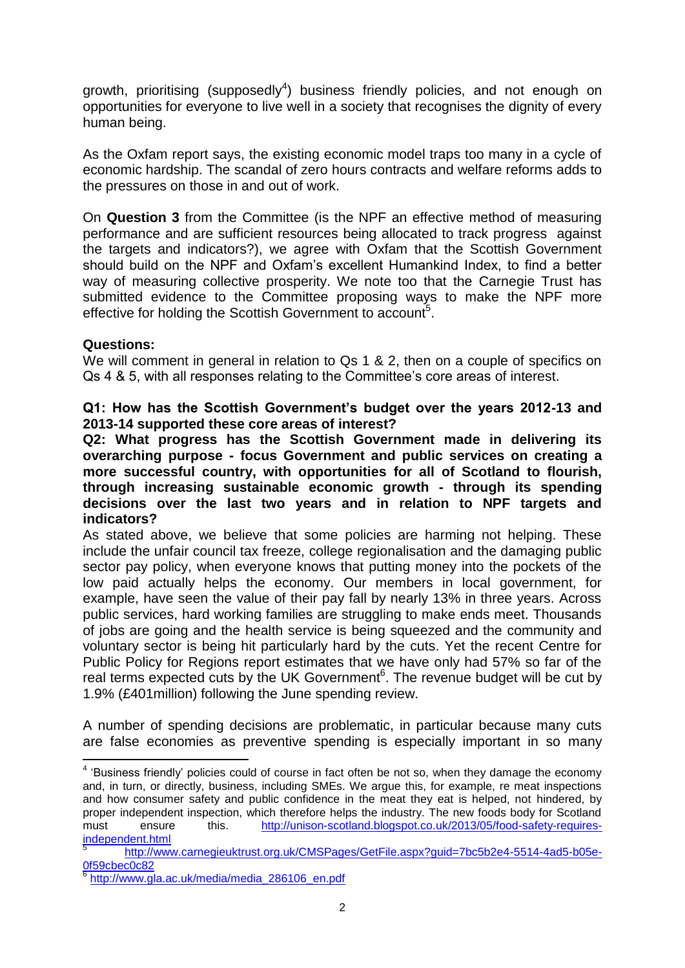growth, prioritising (supposedly<sup>4</sup>) business friendly policies, and not enough on opportunities for everyone to live well in a society that recognises the dignity of every human being.

As the Oxfam report says, the existing economic model traps too many in a cycle of economic hardship. The scandal of zero hours contracts and welfare reforms adds to the pressures on those in and out of work.

On **Question 3** from the Committee (is the NPF an effective method of measuring performance and are sufficient resources being allocated to track progress against the targets and indicators?), we agree with Oxfam that the Scottish Government should build on the NPF and Oxfam's excellent Humankind Index, to find a better way of measuring collective prosperity. We note too that the Carnegie Trust has submitted evidence to the Committee proposing ways to make the NPF more effective for holding the Scottish Government to account<sup>5</sup>.

# **Questions:**

<u>.</u>

We will comment in general in relation to Qs 1 & 2, then on a couple of specifics on Qs 4 & 5, with all responses relating to the Committee's core areas of interest.

**Q1: How has the Scottish Government's budget over the years 2012-13 and 2013-14 supported these core areas of interest?** 

**Q2: What progress has the Scottish Government made in delivering its overarching purpose - focus Government and public services on creating a more successful country, with opportunities for all of Scotland to flourish, through increasing sustainable economic growth - through its spending decisions over the last two years and in relation to NPF targets and indicators?**

As stated above, we believe that some policies are harming not helping. These include the unfair council tax freeze, college regionalisation and the damaging public sector pay policy, when everyone knows that putting money into the pockets of the low paid actually helps the economy. Our members in local government, for example, have seen the value of their pay fall by nearly 13% in three years. Across public services, hard working families are struggling to make ends meet. Thousands of jobs are going and the health service is being squeezed and the community and voluntary sector is being hit particularly hard by the cuts. Yet the recent Centre for Public Policy for Regions report estimates that we have only had 57% so far of the real terms expected cuts by the UK Government<sup>6</sup>. The revenue budget will be cut by 1.9% (£401million) following the June spending review.

A number of spending decisions are problematic, in particular because many cuts are false economies as preventive spending is especially important in so many

 $4$  'Business friendly' policies could of course in fact often be not so, when they damage the economy and, in turn, or directly, business, including SMEs. We argue this, for example, re meat inspections and how consumer safety and public confidence in the meat they eat is helped, not hindered, by proper independent inspection, which therefore helps the industry. The new foods body for Scotland must ensure this. [http://unison-scotland.blogspot.co.uk/2013/05/food-safety-requires](http://unison-scotland.blogspot.co.uk/2013/05/food-safety-requires-independent.html)[independent.html](http://unison-scotland.blogspot.co.uk/2013/05/food-safety-requires-independent.html)

<sup>5</sup> [http://www.carnegieuktrust.org.uk/CMSPages/GetFile.aspx?guid=7bc5b2e4-5514-4ad5-b05e-](http://www.carnegieuktrust.org.uk/CMSPages/GetFile.aspx?guid=7bc5b2e4-5514-4ad5-b05e-0f59cbec0c82)[0f59cbec0c82](http://www.carnegieuktrust.org.uk/CMSPages/GetFile.aspx?guid=7bc5b2e4-5514-4ad5-b05e-0f59cbec0c82)

<sup>6</sup> [http://www.gla.ac.uk/media/media\\_286106\\_en.pdf](http://www.gla.ac.uk/media/media_286106_en.pdf)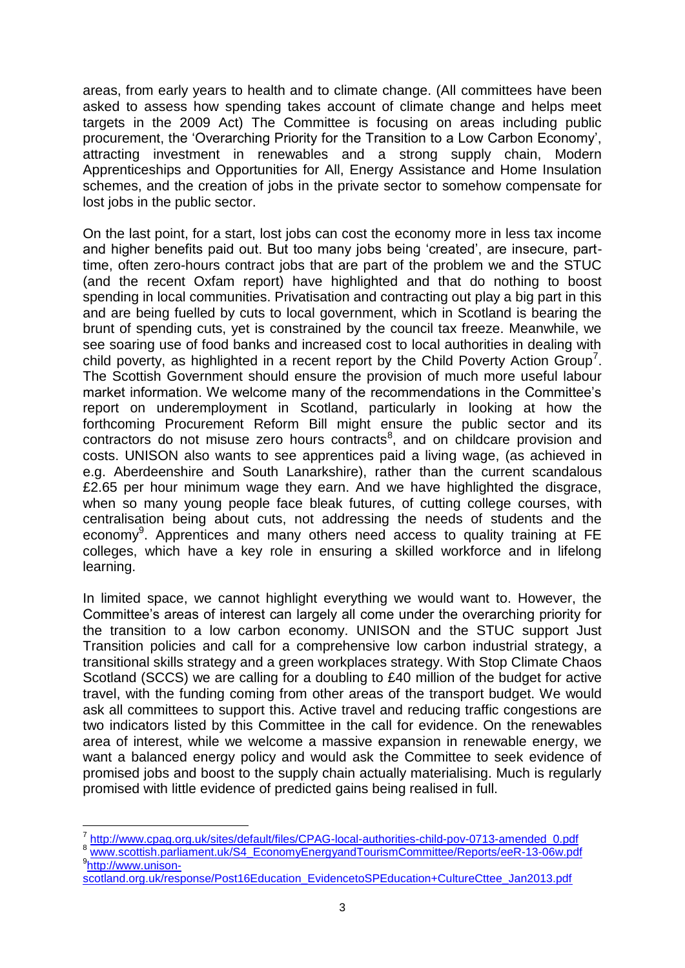areas, from early years to health and to climate change. (All committees have been asked to assess how spending takes account of climate change and helps meet targets in the 2009 Act) The Committee is focusing on areas including public procurement, the 'Overarching Priority for the Transition to a Low Carbon Economy', attracting investment in renewables and a strong supply chain, Modern Apprenticeships and Opportunities for All, Energy Assistance and Home Insulation schemes, and the creation of jobs in the private sector to somehow compensate for lost jobs in the public sector.

On the last point, for a start, lost jobs can cost the economy more in less tax income and higher benefits paid out. But too many jobs being 'created', are insecure, parttime, often zero-hours contract jobs that are part of the problem we and the STUC (and the recent Oxfam report) have highlighted and that do nothing to boost spending in local communities. Privatisation and contracting out play a big part in this and are being fuelled by cuts to local government, which in Scotland is bearing the brunt of spending cuts, yet is constrained by the council tax freeze. Meanwhile, we see soaring use of food banks and increased cost to local authorities in dealing with child poverty, as highlighted in a recent report by the Child Poverty Action Group<sup>7</sup>. The Scottish Government should ensure the provision of much more useful labour market information. We welcome many of the recommendations in the Committee's report on underemployment in Scotland, particularly in looking at how the forthcoming Procurement Reform Bill might ensure the public sector and its  $contractors$  do not misuse zero hours contracts<sup>8</sup>, and on childcare provision and costs. UNISON also wants to see apprentices paid a living wage, (as achieved in e.g. Aberdeenshire and South Lanarkshire), rather than the current scandalous £2.65 per hour minimum wage they earn. And we have highlighted the disgrace, when so many young people face bleak futures, of cutting college courses, with centralisation being about cuts, not addressing the needs of students and the economy<sup>9</sup>. Apprentices and many others need access to quality training at FE colleges, which have a key role in ensuring a skilled workforce and in lifelong learning.

In limited space, we cannot highlight everything we would want to. However, the Committee's areas of interest can largely all come under the overarching priority for the transition to a low carbon economy. UNISON and the STUC support Just Transition policies and call for a comprehensive low carbon industrial strategy, a transitional skills strategy and a green workplaces strategy. With Stop Climate Chaos Scotland (SCCS) we are calling for a doubling to £40 million of the budget for active travel, with the funding coming from other areas of the transport budget. We would ask all committees to support this. Active travel and reducing traffic congestions are two indicators listed by this Committee in the call for evidence. On the renewables area of interest, while we welcome a massive expansion in renewable energy, we want a balanced energy policy and would ask the Committee to seek evidence of promised jobs and boost to the supply chain actually materialising. Much is regularly promised with little evidence of predicted gains being realised in full.

1

<sup>7</sup> [http://www.cpag.org.uk/sites/default/files/CPAG-local-authorities-child-pov-0713-amended\\_0.pdf](http://www.cpag.org.uk/sites/default/files/CPAG-local-authorities-child-pov-0713-amended_0.pdf)

<sup>8</sup> [www.scottish.parliament.uk/S4\\_EconomyEnergyandTourismCommittee/Reports/eeR-13-06w.pdf](http://www.scottish.parliament.uk/S4_EconomyEnergyandTourismCommittee/Reports/eeR-13-06w.pdf) <sup>9</sup>[http://www.unison-](http://www.unison-scotland.org.uk/response/Post16Education_EvidencetoSPEducation+CultureCttee_Jan2013.pdf)

[scotland.org.uk/response/Post16Education\\_EvidencetoSPEducation+CultureCttee\\_Jan2013.pdf](http://www.unison-scotland.org.uk/response/Post16Education_EvidencetoSPEducation+CultureCttee_Jan2013.pdf)